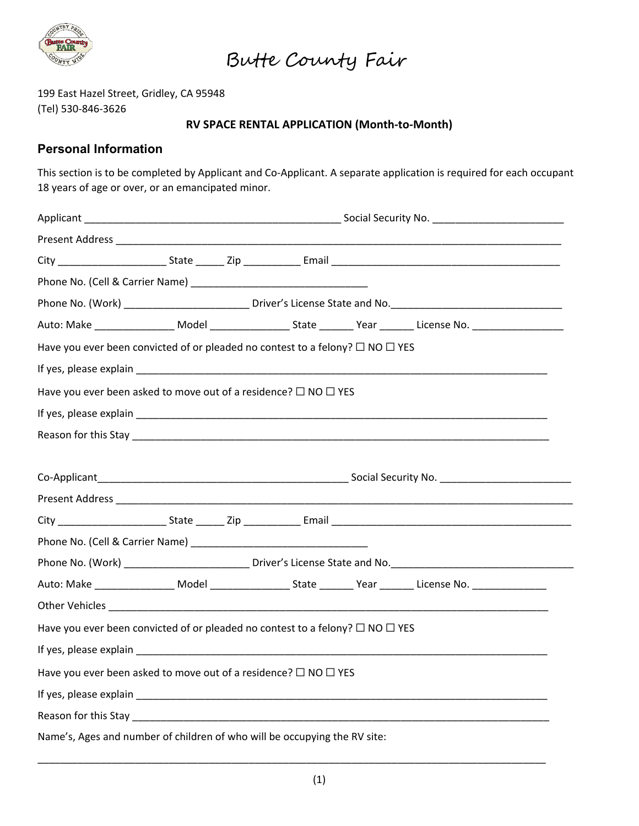

199 East Hazel Street, Gridley, CA 95948 (Tel) 530-846-3626

### **RV SPACE RENTAL APPLICATION (Month-to-Month)**

### **Personal Information**

This section is to be completed by Applicant and Co-Applicant. A separate application is required for each occupant 18 years of age or over, or an emancipated minor.

|                                                                                               | Phone No. (Work) ____________________________Driver's License State and No. _________________________________  |  |  |  |                                                                                                                |  |  |  |
|-----------------------------------------------------------------------------------------------|----------------------------------------------------------------------------------------------------------------|--|--|--|----------------------------------------------------------------------------------------------------------------|--|--|--|
|                                                                                               |                                                                                                                |  |  |  | Auto: Make ________________________Model ___________________________Year ________ License No. ________________ |  |  |  |
| Have you ever been convicted of or pleaded no contest to a felony? $\Box$ NO $\Box$ YES       |                                                                                                                |  |  |  |                                                                                                                |  |  |  |
|                                                                                               |                                                                                                                |  |  |  |                                                                                                                |  |  |  |
| Have you ever been asked to move out of a residence? $\Box$ NO $\Box$ YES                     |                                                                                                                |  |  |  |                                                                                                                |  |  |  |
|                                                                                               |                                                                                                                |  |  |  |                                                                                                                |  |  |  |
|                                                                                               |                                                                                                                |  |  |  |                                                                                                                |  |  |  |
|                                                                                               |                                                                                                                |  |  |  |                                                                                                                |  |  |  |
|                                                                                               |                                                                                                                |  |  |  |                                                                                                                |  |  |  |
|                                                                                               |                                                                                                                |  |  |  |                                                                                                                |  |  |  |
|                                                                                               |                                                                                                                |  |  |  |                                                                                                                |  |  |  |
|                                                                                               |                                                                                                                |  |  |  |                                                                                                                |  |  |  |
|                                                                                               | Phone No. (Work) ______________________________Driver's License State and No. ________________________________ |  |  |  |                                                                                                                |  |  |  |
|                                                                                               |                                                                                                                |  |  |  |                                                                                                                |  |  |  |
|                                                                                               |                                                                                                                |  |  |  |                                                                                                                |  |  |  |
| Have you ever been convicted of or pleaded no contest to a felony? $\square$ NO $\square$ YES |                                                                                                                |  |  |  |                                                                                                                |  |  |  |
|                                                                                               |                                                                                                                |  |  |  |                                                                                                                |  |  |  |
| Have you ever been asked to move out of a residence? $\square$ NO $\square$ YES               |                                                                                                                |  |  |  |                                                                                                                |  |  |  |
|                                                                                               |                                                                                                                |  |  |  |                                                                                                                |  |  |  |
|                                                                                               |                                                                                                                |  |  |  |                                                                                                                |  |  |  |
| Name's, Ages and number of children of who will be occupying the RV site:                     |                                                                                                                |  |  |  |                                                                                                                |  |  |  |

\_\_\_\_\_\_\_\_\_\_\_\_\_\_\_\_\_\_\_\_\_\_\_\_\_\_\_\_\_\_\_\_\_\_\_\_\_\_\_\_\_\_\_\_\_\_\_\_\_\_\_\_\_\_\_\_\_\_\_\_\_\_\_\_\_\_\_\_\_\_\_\_\_\_\_\_\_\_\_\_\_\_\_\_\_\_\_\_\_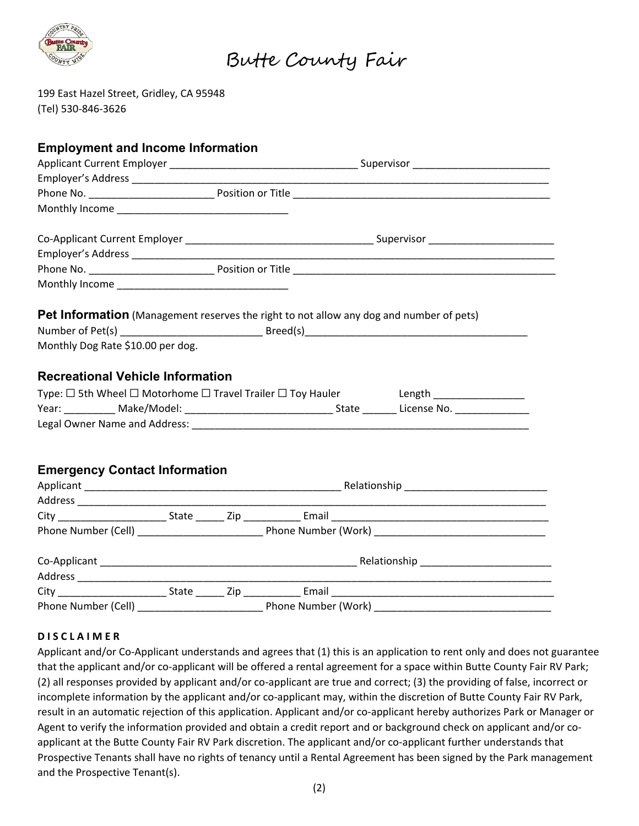

199 East Hazel Street, Gridley, CA 95948 (Tel) 530-846-3626

| <b>Employment and Income Information</b> |  |  |                                                                                                |                                                                                  |  |  |  |
|------------------------------------------|--|--|------------------------------------------------------------------------------------------------|----------------------------------------------------------------------------------|--|--|--|
|                                          |  |  |                                                                                                |                                                                                  |  |  |  |
|                                          |  |  |                                                                                                |                                                                                  |  |  |  |
|                                          |  |  |                                                                                                |                                                                                  |  |  |  |
|                                          |  |  |                                                                                                |                                                                                  |  |  |  |
|                                          |  |  |                                                                                                |                                                                                  |  |  |  |
|                                          |  |  |                                                                                                |                                                                                  |  |  |  |
|                                          |  |  |                                                                                                |                                                                                  |  |  |  |
|                                          |  |  |                                                                                                |                                                                                  |  |  |  |
|                                          |  |  | <b>Pet Information</b> (Management reserves the right to not allow any dog and number of pets) |                                                                                  |  |  |  |
|                                          |  |  |                                                                                                |                                                                                  |  |  |  |
| Monthly Dog Rate \$10.00 per dog.        |  |  |                                                                                                |                                                                                  |  |  |  |
|                                          |  |  |                                                                                                |                                                                                  |  |  |  |
| <b>Recreational Vehicle Information</b>  |  |  |                                                                                                |                                                                                  |  |  |  |
|                                          |  |  |                                                                                                | Type: □ 5th Wheel □ Motorhome □ Travel Trailer □ Toy Hauler Length _____________ |  |  |  |
|                                          |  |  |                                                                                                |                                                                                  |  |  |  |
|                                          |  |  |                                                                                                |                                                                                  |  |  |  |
|                                          |  |  |                                                                                                |                                                                                  |  |  |  |
|                                          |  |  |                                                                                                |                                                                                  |  |  |  |
| <b>Emergency Contact Information</b>     |  |  |                                                                                                |                                                                                  |  |  |  |
|                                          |  |  |                                                                                                |                                                                                  |  |  |  |
|                                          |  |  |                                                                                                |                                                                                  |  |  |  |
|                                          |  |  |                                                                                                |                                                                                  |  |  |  |
|                                          |  |  |                                                                                                |                                                                                  |  |  |  |
|                                          |  |  |                                                                                                |                                                                                  |  |  |  |
|                                          |  |  |                                                                                                |                                                                                  |  |  |  |
|                                          |  |  |                                                                                                |                                                                                  |  |  |  |
|                                          |  |  |                                                                                                |                                                                                  |  |  |  |
|                                          |  |  |                                                                                                |                                                                                  |  |  |  |

### **D I S C L A I M E R**

Applicant and/or Co-Applicant understands and agrees that (1) this is an application to rent only and does not guarantee that the applicant and/or co-applicant will be offered a rental agreement for a space within Butte County Fair RV Park; (2) all responses provided by applicant and/or co-applicant are true and correct; (3) the providing of false, incorrect or incomplete information by the applicant and/or co-applicant may, within the discretion of Butte County Fair RV Park, result in an automatic rejection of this application. Applicant and/or co-applicant hereby authorizes Park or Manager or Agent to verify the information provided and obtain a credit report and or background check on applicant and/or coapplicant at the Butte County Fair RV Park discretion. The applicant and/or co-applicant further understands that Prospective Tenants shall have no rights of tenancy until a Rental Agreement has been signed by the Park management and the Prospective Tenant(s).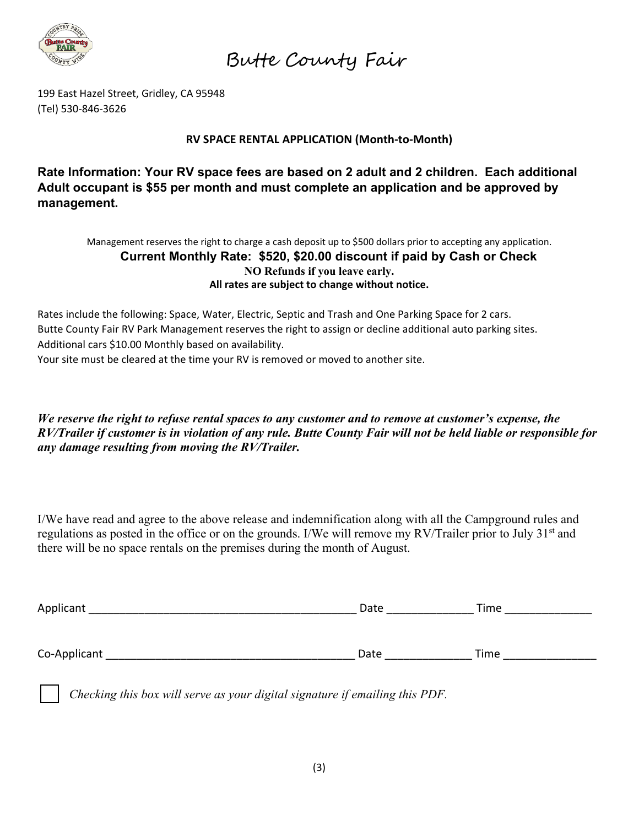

199 East Hazel Street, Gridley, CA 95948 (Tel) 530-846-3626

## **RV SPACE RENTAL APPLICATION (Month-to-Month)**

**Rate Information: Your RV space fees are based on 2 adult and 2 children. Each additional Adult occupant is \$55 per month and must complete an application and be approved by management.**

Management reserves the right to charge a cash deposit up to \$500 dollars prior to accepting any application. **Current Monthly Rate: \$520, \$20.00 discount if paid by Cash or Check NO Refunds if you leave early. All rates are subject to change without notice.**

Rates include the following: Space, Water, Electric, Septic and Trash and One Parking Space for 2 cars. Butte County Fair RV Park Management reserves the right to assign or decline additional auto parking sites. Additional cars \$10.00 Monthly based on availability.

Your site must be cleared at the time your RV is removed or moved to another site.

*We reserve the right to refuse rental spaces to any customer and to remove at customer's expense, the RV/Trailer if customer is in violation of any rule. Butte County Fair will not be held liable or responsible for any damage resulting from moving the RV/Trailer.*

I/We have read and agree to the above release and indemnification along with all the Campground rules and regulations as posted in the office or on the grounds. I/We will remove my RV/Trailer prior to July 31<sup>st</sup> and there will be no space rentals on the premises during the month of August.

| Applicant    | Date | Time |
|--------------|------|------|
|              |      |      |
| Co-Applicant | Date | Time |

*Checking this box will serve as your digital signature if emailing this PDF.*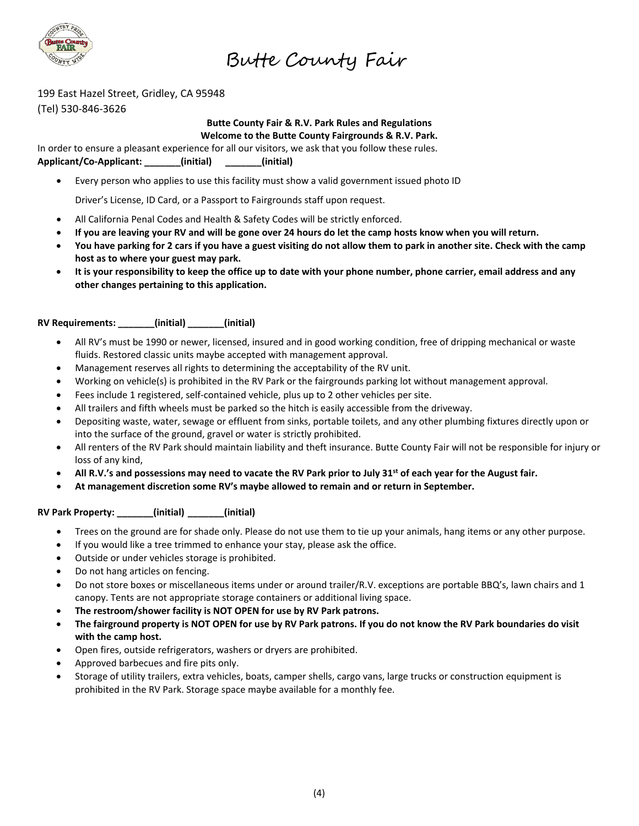

Butte County Fair

199 East Hazel Street, Gridley, CA 95948

(Tel) 530-846-3626

#### **Butte County Fair & R.V. Park Rules and Regulations Welcome to the Butte County Fairgrounds & R.V. Park.**

In order to ensure a pleasant experience for all our visitors, we ask that you follow these rules.

**Applicant/Co-Applicant: \_\_\_\_\_\_\_(initial) \_\_\_\_\_\_\_(initial)** 

• Every person who applies to use this facility must show a valid government issued photo ID

Driver's License, ID Card, or a Passport to Fairgrounds staff upon request.

- All California Penal Codes and Health & Safety Codes will be strictly enforced.
- **If you are leaving your RV and will be gone over 24 hours do let the camp hosts know when you will return.**
- **You have parking for 2 cars if you have a guest visiting do not allow them to park in another site. Check with the camp host as to where your guest may park.**
- **It is your responsibility to keep the office up to date with your phone number, phone carrier, email address and any other changes pertaining to this application.**

#### **RV Requirements: \_\_\_\_\_\_\_(initial) \_\_\_\_\_\_\_(initial)**

- All RV's must be 1990 or newer, licensed, insured and in good working condition, free of dripping mechanical or waste fluids. Restored classic units maybe accepted with management approval.
- Management reserves all rights to determining the acceptability of the RV unit.
- Working on vehicle(s) is prohibited in the RV Park or the fairgrounds parking lot without management approval.
- Fees include 1 registered, self-contained vehicle, plus up to 2 other vehicles per site.
- All trailers and fifth wheels must be parked so the hitch is easily accessible from the driveway.
- Depositing waste, water, sewage or effluent from sinks, portable toilets, and any other plumbing fixtures directly upon or into the surface of the ground, gravel or water is strictly prohibited.
- All renters of the RV Park should maintain liability and theft insurance. Butte County Fair will not be responsible for injury or loss of any kind,
- **All R.V.'s and possessions may need to vacate the RV Park prior to July 31st of each year for the August fair.**
- **At management discretion some RV's maybe allowed to remain and or return in September.**

#### **RV Park Property: \_\_\_\_\_\_\_(initial) \_\_\_\_\_\_\_(initial)**

- Trees on the ground are for shade only. Please do not use them to tie up your animals, hang items or any other purpose.
- If you would like a tree trimmed to enhance your stay, please ask the office.
- Outside or under vehicles storage is prohibited.
- Do not hang articles on fencing.
- Do not store boxes or miscellaneous items under or around trailer/R.V. exceptions are portable BBQ's, lawn chairs and 1 canopy. Tents are not appropriate storage containers or additional living space.
- **The restroom/shower facility is NOT OPEN for use by RV Park patrons.**
- **The fairground property is NOT OPEN for use by RV Park patrons. If you do not know the RV Park boundaries do visit with the camp host.**
- Open fires, outside refrigerators, washers or dryers are prohibited.
- Approved barbecues and fire pits only.
- Storage of utility trailers, extra vehicles, boats, camper shells, cargo vans, large trucks or construction equipment is prohibited in the RV Park. Storage space maybe available for a monthly fee.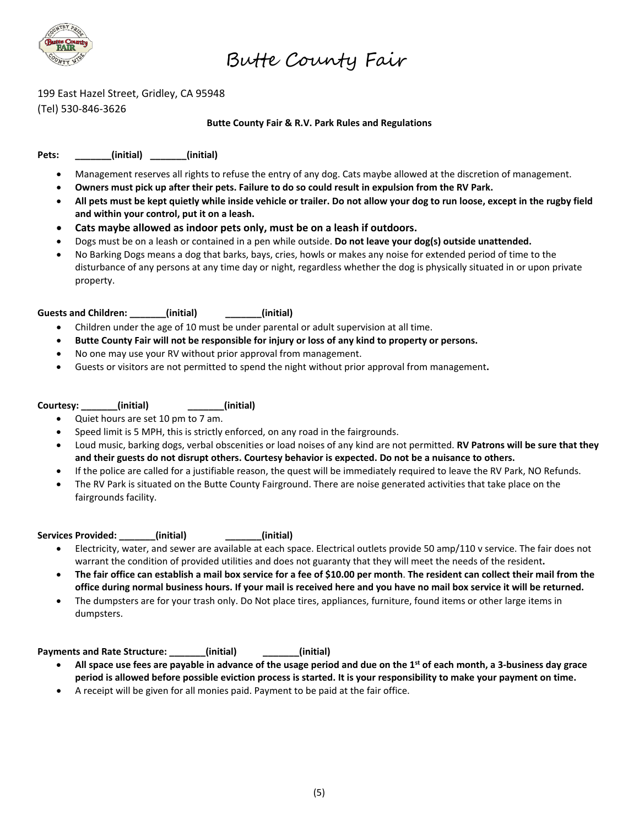

199 East Hazel Street, Gridley, CA 95948 (Tel) 530-846-3626

#### **Butte County Fair & R.V. Park Rules and Regulations**

**Pets: \_\_\_\_\_\_\_(initial) \_\_\_\_\_\_\_(initial)**

- Management reserves all rights to refuse the entry of any dog. Cats maybe allowed at the discretion of management.
- **Owners must pick up after their pets. Failure to do so could result in expulsion from the RV Park.**
- **All pets must be kept quietly while inside vehicle or trailer. Do not allow your dog to run loose, except in the rugby field and within your control, put it on a leash.**
- **Cats maybe allowed as indoor pets only, must be on a leash if outdoors.**
- Dogs must be on a leash or contained in a pen while outside. **Do not leave your dog(s) outside unattended.**
- No Barking Dogs means a dog that barks, bays, cries, howls or makes any noise for extended period of time to the disturbance of any persons at any time day or night, regardless whether the dog is physically situated in or upon private property.

**Guests and Children: \_\_\_\_\_\_\_(initial) \_\_\_\_\_\_\_(initial)**

- Children under the age of 10 must be under parental or adult supervision at all time.
- **Butte County Fair will not be responsible for injury or loss of any kind to property or persons.**
- No one may use your RV without prior approval from management.
- Guests or visitors are not permitted to spend the night without prior approval from management**.**

#### **Courtesy: \_\_\_\_\_\_\_(initial) \_\_\_\_\_\_\_(initial)**

- Quiet hours are set 10 pm to 7 am.
- Speed limit is 5 MPH, this is strictly enforced, on any road in the fairgrounds.
- Loud music, barking dogs, verbal obscenities or load noises of any kind are not permitted. **RV Patrons will be sure that they and their guests do not disrupt others. Courtesy behavior is expected. Do not be a nuisance to others.**
- If the police are called for a justifiable reason, the quest will be immediately required to leave the RV Park, NO Refunds.
- The RV Park is situated on the Butte County Fairground. There are noise generated activities that take place on the fairgrounds facility.

Services Provided: (initial) (initial)

- Electricity, water, and sewer are available at each space. Electrical outlets provide 50 amp/110 v service. The fair does not warrant the condition of provided utilities and does not guaranty that they will meet the needs of the resident**.**
- **The fair office can establish a mail box service for a fee of \$10.00 per month**. **The resident can collect their mail from the office during normal business hours. If your mail is received here and you have no mail box service it will be returned.**
- The dumpsters are for your trash only. Do Not place tires, appliances, furniture, found items or other large items in dumpsters.

#### **Payments and Rate Structure: \_\_\_\_\_\_\_(initial) \_\_\_\_\_\_\_(initial)**

- **All space use fees are payable in advance of the usage period and due on the 1st of each month, a 3-business day grace period is allowed before possible eviction process is started. It is your responsibility to make your payment on time.**
- A receipt will be given for all monies paid. Payment to be paid at the fair office.